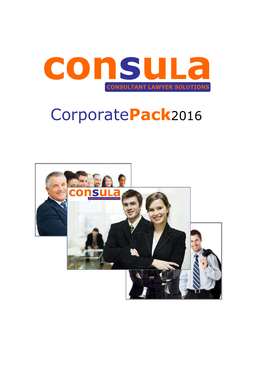

# Corporate**Pack**2016

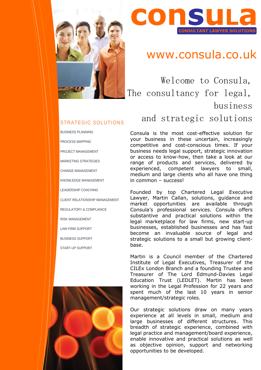

# **CONSUL**

## www.consula.co.uk

Welcome to Consula, The consultancy for legal, business and strategic solutions

Consula is the most cost-effective solution for your business in these uncertain, increasingly competitive and cost-conscious times. If your business needs legal support, strategic innovation or access to know-how, then take a look at our range of products and services, delivered by experienced, competent lawyers to small, medium and large clients who all have one thing in common – success!

Founded by top Chartered Legal Executive Lawyer, Martin Callan, solutions, guidance and market opportunities are available through Consula's professional services. Consula offers substantive and practical solutions within the legal marketplace for law firms, new start-up businesses, established businesses and has fast become an invaluable source of legal and strategic solutions to a small but growing clientbase.

Martin is a Council member of the Chartered Institute of Legal Executives, Treasurer of the CILEx London Branch and a founding Trustee and Treasurer of The Lord Edmund-Davies Legal Education Trust (LEDLET). Martin has been working in the Legal Profession for 22 years and spent much of the last 10 years in senior management/strategic roles.

Our strategic solutions draw on many years experience at all levels in small, medium and large businesses of different structures. This breadth of strategic experience, combined with legal practice and management/board experience, enable innovative and practical solutions as well as objective opinion, support and networking opportunities to be developed.

### STRATEGIC SOLUTIONS

BUSINESS PLANNING PROCESS MAPPING PROJECT MANAGEMENT MARKETING STRATEGIES CHANGE MANAGEMENT KNOWLEDGE MANAGEMENT LEADERSHIP COACHING CLIENT RELATIONSHIP MANAGEMENT REGULATORY & COMPLIANCE RISK MANAGEMENT LAW FIRM SUPPORT BUSINESS SUPPORT START-UP SUPPORT

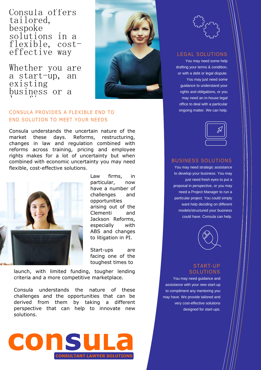Consula offers tailored, bespoke solutions in a flexible, costeffective way

Whether you are a start-up, an existing business or a  $\frac{1}{1}$  and  $\frac{1}{2}$  firm,  $\frac{1}{2}$ 



### CONSULA PROVIDES A FLEXIBLE END TO END SOLUTION TO MEET YOUR NEEDS CONSULA PROVII

Consula understands the uncertain nature of the market these days. Reforms, restructuring, changes in law and regulation combined with reforms across training, pricing and employee rights makes for a lot of uncertainty but when combined with economic uncertainty you may need flexible, cost-effective solutions.



Law firms, in particular, now have a number of challenges and opportunities arising out of the Clementi and Jackson Reforms, especially with ABS and changes to litigation in PI.

Start-ups are facing one of the toughest times to

launch, with limited funding, tougher lending criteria and a more competitive marketplace.

Consula understands the nature of these challenges and the opportunities that can be derived from them by taking a different perspective that can help to innovate new solutions.



### LEGAL SOLUTIONS

You may need some help drafting your terms & condition, or with a debt or legal dispute. You may just need some guidance to understand your rights and obligations, or you may need an in-house legal office to deal with a particular ongoing matter. We can help.



#### BUSINESS SOLUTIONS

You may need strategic assistance to develop your business. You may just need fresh eyes to put a proposal in perspective, or you may need a Project Manager to run a particular project. You could simply want help deciding on different models/structured your business could have. Consula can help.



#### START-UP **SOLUTIONS**

You may need guidance and assistance with your new start-up to compliment any mentoring you may have. We provide tailored and very cost-effective solutions designed for start-ups.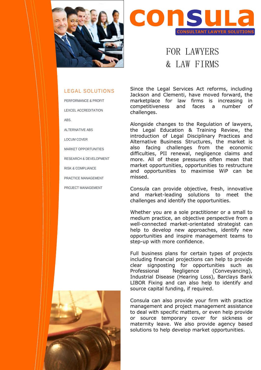



## FOR LAWYERS & LAW FIRMS

### LEGAL SOLUTIONS

PERFORMANCE & PROFIT LEXCEL ACCREDITATION ABS.

ALTERNATIVE ABS

LOCUM COVER

MARKET OPPORTUNITIES

RESEARCH & DEVELOPMENT

RISK & COMPLIANCE

PRACTICE MANAGEMENT

PROJECT MANAGEMENT

Since the Legal Services Act reforms, including Jackson and Clementi, have moved forward, the marketplace for law firms is increasing in competitiveness and faces a number of challenges.

Alongside changes to the Regulation of lawyers, the Legal Education & Training Review, the introduction of Legal Disciplinary Practices and Alternative Business Structures, the market is also facing challenges from the economic difficulties, PII renewal, negligence claims and more. All of these pressures often mean that market opportunities, opportunities to restructure and opportunities to maximise WiP can be missed.

Consula can provide objective, fresh, innovative and market-leading solutions to meet the challenges and identify the opportunities.

Whether you are a sole practitioner or a small to medium practice, an objective perspective from a well-connected market-orientated strategist can help to develop new approaches, identify new opportunities and inspire management teams to step-up with more confidence.

Full business plans for certain types of projects including financial projections can help to provide clear signposting for opportunities such as Professional Negligence (Conveyancing), Industrial Disease (Hearing Loss), Barclays Bank LIBOR Fixing and can also help to identify and source capital funding, if required.

Consula can also provide your firm with practice management and project management assistance to deal with specific matters, or even help provide or source temporary cover for sickness or maternity leave. We also provide agency based solutions to help develop market opportunities.

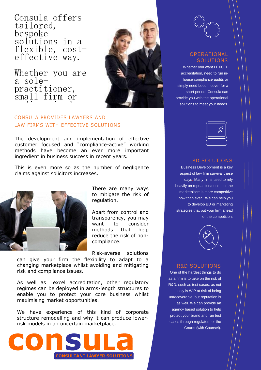Consula offers tailored, bespoke solutions in a flexible, costeffective way.

Whether you are a solepractitioner, small firm or medium sized sized and all the size of the size of the size of the size of the size of the size of the size of <br>Size of the size of the size of the size of the size of the size of the size of the size of the size of the si



### **CONSULA PROVIDES LAWYERS AND** LAW FIRMS WITH EFFECTIVE SOLUTIONS CONSULA PROVIDES LAWYERS

The development and implementation of effective customer focused and "compliance-active" working methods have become an ever more important ingredient in business success in recent years.

This is even more so as the number of negligence claims against solicitors increases.



There are many ways to mitigate the risk of regulation.

Apart from control and transparency, you may want to consider methods that help reduce the risk of noncompliance.

Risk-averse solutions

can give your firm the flexibility to adapt to a changing marketplace whilst avoiding and mitigating risk and compliance issues.

As well as Lexcel accreditation, other regulatory regimes can be deployed in arms-length structures to enable you to protect your core business whilst maximising market opportunities.

We have experience of this kind of corporate structure remodelling and why it can produce lowerrisk models in an uncertain marketplace.





### OPERATIONAL SOLUTIONS

Whether you want LEXCEL accreditation, need to run inhouse compliance audits or simply need Locum cover for a short period. Consula can provide you with the operational solutions to meet your needs.



#### BD SOLUTIONS

Business Development is a key aspect of law firm survival these days. Many firms used to rely heavily on repeat business, but the marketplace is more competitive now than ever. We can help you to develop BD or marketing strategies that put your firm ahead of the competition.



#### R&D SOLUTIONS

One of the hardest things to do as a firm is to take on the risk of R&D, such as test cases, as not only is WiP at risk of being unrecoverable, but reputation is as well. We can provide an agency based solution to help protect your brand and run test cases through regulators or the Courts (with Counsel).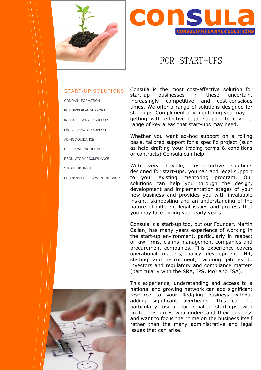



### FOR START-UPS

### START-UP SOLUTIONS

COMPANY FORMATION BUSINESS PLAN SUPPORT IN-HOUSE LAWYER SUPPORT LEGAL DIRECTOR SUPPORT AD-HOC GUIDANCE HELP DRAFTING TERMS REGULATORY / COMPLIANCE STRATEGIC INPUT BUSINESS DEVELOPMENT NETWORK Consula is the most cost-effective solution for start-up businesses in these uncertain, increasingly competitive and cost-conscious times. We offer a range of solutions designed for start-ups. Compliment any mentoring you may be getting with effective legal support to cover a range of key areas that start-ups may need.

Whether you want ad-hoc support on a rolling basis, tailored support for a specific project (such as help drafting your trading terms & conditions or contracts) Consula can help.

With very flexible, cost-effective solutions designed for start-ups, you can add legal support to your existing mentoring program. Our solutions can help you through the design, development and implementation stages of your new business and provides you with invaluable insight, signposting and an understanding of the nature of different legal issues and process that you may face during your early years.

Consula is a start-up too, but our Founder, Martin Callan, has many years experience of working in the start-up environment, particularly in respect of law firms, claims management companies and procurement companies. This experience covers operational matters, policy development, HR, staffing and recruitment, tailoring pitches to investors and regulatory and compliance matters (particularly with the SRA, IPS, MoJ and FSA).



This experience, understanding and access to a national and growing network can add significant resource to your fledgling business without adding significant overheads. This can be particularly useful for smaller start-ups with limited resources who understand their business and want to focus their time on the business itself rather than the many administrative and legal issues that can arise.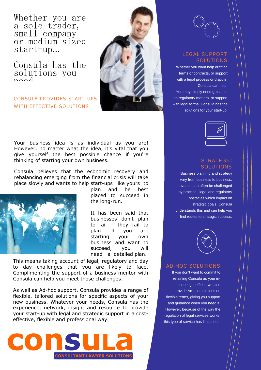Whether you are a sole-trader, small company or medium sized start-up…

Consula has the solutions you  $n \geq 1$ 

CONSULA PROVIDES START-UPS WITH EFFECTIVE SOLUTIONS



Your business idea is as individual as you are! However, no matter what the idea, it's vital that you give yourself the best possible chance if you're thinking of starting your own business.

Consula believes that the economic recovery and rebalancing emerging from the financial crisis will take place slowly and wants to help start-ups like yours to



plan and be best placed to succeed in the long-run.

It has been said that businesses don't plan to fail – they fail to plan. If you are starting your own business and want to succeed, you will need a detailed plan.

This means taking account of legal, regulatory and day to day challenges that you are likely to face. Complimenting the support of a business mentor with Consula can help you meet those challenges.

As well as Ad-hoc support, Consula provides a range of flexible, tailored solutions for specific aspects of your new business. Whatever your needs, Consula has the experience, network, insight and resource to provide your start-up with legal and strategic support in a costeffective, flexible and professional way.



### LEGAL SUPPORT **SOLUTIONS**

Whether you want help drafting terms or contracts, or support with a legal process or dispute, Consula can help. You may simply need guidance on regulatory matters, or support with legal forms. Consula has the solutions for your start-up.



### STRATEGIC **SOLUTIONS**

Business planning and strategy vary from business to business. Innovation can often be challenged by practical, legal and regulatory obstacles which impact on strategic goals. Consula understands this and can help you find routes to strategic success.



### AD-HOC SOLUTIONS

If you don't want to commit to retaining Consula as your inhouse legal officer, we also provide Ad-hoc solutions on flexible terms, giving you support and guidance when you need it. However, because of the way the regulation of legal services works, this type of service has limitations.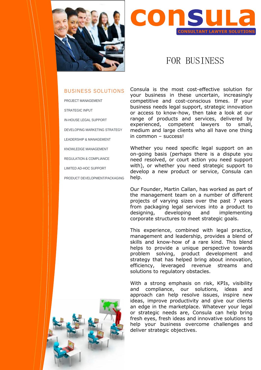



### FOR BUSINESS

### BUSINESS SOLUTIONS

PROJECT MANAGEMENT

STRATEGIC INPUT

IN-HOUSE LEGAL SUPPORT

DEVELOPING MARKETING STRATEGY

LEADERSHIP & MANAGEMENT

KNOWLEDGE MANAGEMENT

REGULATION & COMPLIANCE

LIMITED AD-HOC SUPPORT

PRODUCT DEVELOPMENT/PACKAGING

Consula is the most cost-effective solution for your business in these uncertain, increasingly competitive and cost-conscious times. If your business needs legal support, strategic innovation or access to know-how, then take a look at our range of products and services, delivered by experienced, competent lawyers to small, medium and large clients who all have one thing in common – success!

Whether you need specific legal support on an on-going basis (perhaps there is a dispute you need resolved, or court action you need support with), or whether you need strategic support to develop a new product or service, Consula can help.

Our Founder, Martin Callan, has worked as part of the management team on a number of different projects of varying sizes over the past 7 years from packaging legal services into a product to designing, developing and implementing corporate structures to meet strategic goals.

This experience, combined with legal practice, management and leadership, provides a blend of skills and know-how of a rare kind. This blend helps to provide a unique perspective towards problem solving, product development and strategy that has helped bring about innovation, efficiency, leveraged revenue streams and solutions to regulatory obstacles.

With a strong emphasis on risk, KPIs, visibility and compliance, our solutions, ideas and approach can help resolve issues, inspire new ideas, improve productivity and give our clients an edge in the marketplace. Whatever your legal or strategic needs are, Consula can help bring fresh eyes, fresh ideas and innovative solutions to help your business overcome challenges and deliver strategic objectives.